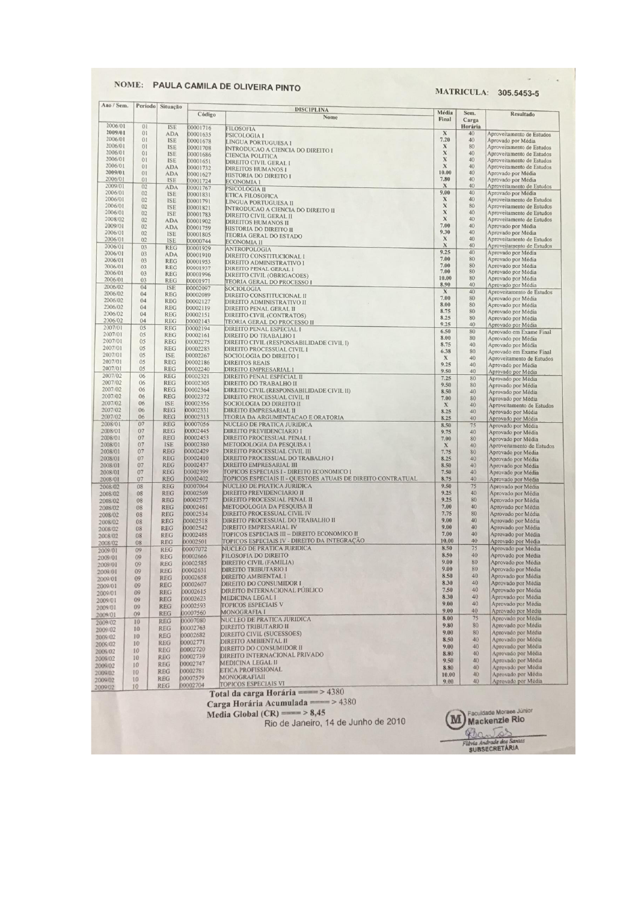# NOME: PAULA CAMILA DE OLIVEIRA PINTO

#### **MATRICULA: 305.5453-5**

 $\omega = -i\cdot\alpha$ 

|                    | Período | Situação   | Código   | <b>DISCIPLINA</b>                                            | Média         |          |                                          |
|--------------------|---------|------------|----------|--------------------------------------------------------------|---------------|----------|------------------------------------------|
|                    |         |            |          | Nome                                                         | Final         | Carga    | Resultado                                |
| 2006/01<br>2009/01 | 01      | <b>ISE</b> | 00001716 | <b>FILOSOFIA</b>                                             |               | Horária  |                                          |
|                    | 01      | <b>ADA</b> | 00001635 | PSICOLOGIA I                                                 | $\mathbf x$   | 40       | Aproveitamento de Estudos                |
| 2006/01            | 01      | <b>ISE</b> | 00001678 | LINGUA PORTUGUESA I                                          | 7.20          | 40       | Aprovado por Média                       |
| 2006/01            | 01      | <b>ISE</b> | 00001708 | INTRODUCAO A CIENCIA DO DIREITO I                            | X             | 80       | Aproveitamento de Estudos                |
| 2006/01            | 01      | <b>ISE</b> | 00001686 | CIENCIA POLITICA                                             | $\mathbf x$   | 40       | Aproveitamento de Estudos                |
| 2006/01            | 01      | <b>ISE</b> | 00001651 | <b>DIREITO CIVIL GERAL I</b>                                 | $\mathbf x$   | 40       | Aproveitamento de Estudos                |
| 2006/01            | 01      | <b>ADA</b> | 00001732 | <b>DIREITOS HUMANOS I</b>                                    | $\mathbf x$   | 40       | Aproveitamento de Estudos                |
| 2009/01            | 01      | <b>ADA</b> | 00001627 | HISTORIA DO DIREITO I                                        | 10.00         | 40       | Aprovado por Média                       |
| 2006/01            | 01      | <b>ISE</b> | 00001724 | <b>ECONOMIA I</b>                                            | 7.80          | 40       | Aprovado por Média                       |
| 2009/01            | 02      | <b>ADA</b> | 00001767 | PSICOLOGIA II                                                | X             | 40       | Aproveitamento de Estudos                |
| 2006/01            | 02      | <b>ISE</b> | 00001831 | <b>ETICA FILOSOFICA</b>                                      | 9.00          | 40       | Aprovado por Média                       |
| 2006/01            | 02      | <b>ISE</b> | 00001791 | LINGUA PORTUGUESA II                                         | $\mathbf x$   | 40       | Aproveitamento de Estudos                |
| 2006/01            | 02      | <b>ISE</b> | 00001821 | INTRODUCAO A CIENCIA DO DIREITO II                           | $\mathbf x$   | 80       | Aproveitamento de Estudos                |
| 2006/01            | 02      | <b>ISE</b> | 00001783 | DIREITO CIVIL GERAL II                                       | X             | 40       | Aproveitamento de Estudos                |
| 2008/02            | 02      | <b>ADA</b> | 00001902 | <b>DIREITOS HUMANOS II</b>                                   | X             | 40       | Aproveitamento de Estudos                |
| 2009/01            | 02      | <b>ADA</b> | 00001759 | HISTORIA DO DIREITO II                                       | 7.00          | 40       | Aprovado por Média                       |
| 2006/01            | 02      | <b>ISE</b> | 00001805 | TEORIA GERAL DO ESTADO                                       | 9.30          | 40       | Aprovado por Média                       |
| 2006/01            | 02      | <b>ISE</b> | 00000744 | ECONOMIA II                                                  | $\mathbf X$   | 40       | Aproveitamento de Estudos                |
| 2006/01            | 03      | <b>REG</b> | 00001929 | <b>ANTROPOLOGIA</b>                                          | X             | 40       | Aproveitamento de Estudos                |
| 2006/01            | 03      | <b>ADA</b> | 00001910 |                                                              | 9.25          | 40       | Aprovado por Média                       |
| 2006/01            | 03      | <b>REG</b> | 00001953 | DIREITO CONSTITUCIONAL I                                     | 7.00          | 80       | Aprovado por Média                       |
| 2006/01            | 03      |            |          | DIREITO ADMINISTRATIVO I                                     | 7.00          | 80       | Aprovado por Média                       |
| 2006/01            | 03      | <b>REG</b> | 00001937 | DIREITO PENAL GERAL I                                        | 7.00          | 80       | Aprovado por Média                       |
| 2006/01            | 03      | <b>REG</b> | 00001996 | DIREITO CIVIL (OBRIGACOES)                                   | 10.00         | 80       | Aprovado por Média                       |
|                    |         | <b>REG</b> | 00001971 | TEORIA GERAL DO PROCESSO I                                   | 8.90          | 40       | Aprovado por Média                       |
| 2006/02            | 04      | <b>ISE</b> | 00002097 | <b>SOCIOLOGIA</b>                                            | $\mathbf X$   | 40       | Aproveitamento de Estudos                |
| 2006/02            | 04      | <b>REG</b> | 00002089 | DIREITO CONSTITUCIONAL II                                    | 7.00          | 80       |                                          |
| 2006/02            | 04      | <b>REG</b> | 00002127 | DIREITO ADMINISTRATIVO II                                    | 8.00          | 80       | Aprovado por Média                       |
| 2006/02            | 04      | <b>REG</b> | 00002119 | <b>DIREITO PENAL GERAL II</b>                                |               |          | Aprovado por Média                       |
| 2006/02            | 04      | <b>REG</b> | 00002151 | DIREITO CIVIL (CONTRATOS)                                    | 8.75          | 80       | Aprovado por Média                       |
| 2006/02            | 04      | <b>REG</b> | 00002143 | TEORIA GERAL DO PROCESSO II                                  | 8.25          | 80       | Aprovado por Média                       |
| 2007/01            | 05      | <b>REG</b> | 00002194 | <b>DIREITO PENAL ESPECIAL I</b>                              | 9.25          | 40       | Aprovado por Média                       |
| 2007/01            | 05      | <b>REG</b> | 00002161 | DIREITO DO TRABALHO I                                        | 6.50          | 80       | Aprovado em Exame Final                  |
| 2007/01            | 05      | <b>REG</b> | 00002275 | DIREITO CIVIL (RESPONSABILIDADE CIVIL I)                     | 8.00          | 80       | Aprovado por Média                       |
| 2007/01            | 05      | <b>REG</b> | 00002283 | DIREITO PROCESSUAL CIVIL I                                   | 8.75          | 40       | Aprovado por Média                       |
| 2007/01            | 05      | <b>ISE</b> | 00002267 |                                                              | 6.38          | 80       | Aprovado em Exame Final                  |
| 2007/01            | 05      |            |          | SOCIOLOGIA DO DIREITO I                                      | $\mathbf{x}$  | 40       | Aproveitamento de Estudos                |
|                    |         | <b>REG</b> | 00002186 | <b>DIREITOS REAIS</b>                                        | 9.25          | 40       | Aprovado por Média                       |
| 2007/01            | 05      | <b>REG</b> | 00002240 | DIREITO EMPRESARIAL I                                        | 9.50          | 40       | Aprovado por Média                       |
| 2007/02            | 06      | <b>REG</b> | 00002321 | DIREITO PENAL ESPECIAL II                                    | 7.25          | 80       | Aprovado por Média                       |
| 2007/02            | 06      | <b>REG</b> | 00002305 | DIREITO DO TRABALHO II                                       | 9.50          | 80       | Aprovado por Média                       |
| 2007/02            | 06      | <b>REG</b> | 00002364 | DIREITO CIVIL (RESPONSABILIDADE CIVIL II)                    | 8.50          | 40       | Aprovado por Média                       |
| 2007/02            | 06      | <b>REG</b> | 00002372 | DIREITO PROCESSUAL CIVIL II                                  | 7.00          | 80       | Aprovado por Média                       |
| 2007/02            | 06      | <b>ISE</b> | 00002356 | SOCIOLOGIA DO DIREITO II                                     | $\mathbf{x}$  | 40       | Aproveitamento de Estudos                |
| 2007/02            | 06      | <b>REG</b> | 00002331 | DIREITO EMPRESARIAL II                                       | 8.25          | 40       | Aprovado por Média                       |
| 2007/02            | 06      | <b>REG</b> | 00002313 | TEORIA DA ARGUMENTACAO E ORATORIA                            | 8.25          | 40       | Aprovado por Média                       |
| 2008/01            | 07      | <b>REG</b> | 00007056 | NUCLEO DE PRATICA JURIDICA                                   | 8.50          | 75       |                                          |
| 2008/01            | 07      | <b>REG</b> | 00002445 | DIREITO PREVIDENCIARIO I                                     | 9.75          | 40       | Aprovado por Média                       |
| 2008/01            | 07      | <b>REG</b> | 00002453 | <b>DIREITO PROCESSUAL PENAL I</b>                            | 7.00          | 80       | Aprovado por Média                       |
| 2008/01            | 07      | <b>ISE</b> | 00002380 | METODOLOGIA DA PESQUISA I                                    |               |          | Aprovado por Média                       |
|                    | 07      | <b>REG</b> | 00002429 |                                                              | X             | 40       | Aproveitamento de Estudos                |
| 2008/01            |         |            |          | DIREITO PROCESSUAL CIVIL III                                 | 7.75          | 80       | Aprovado por Média                       |
| 2008/01            | 07      | <b>REG</b> | 00002410 | DIREITO PROCESSUAL DO TRABALHO I                             | 8.25          | 40       | Aprovado por Média                       |
| 2008/01            | 07      | <b>REG</b> | 00002437 | DIREITO EMPRESARIAL III                                      | 8.50          | 40       | Aprovado por Média                       |
| 2008/01            | 07      | <b>REG</b> | 00002399 | TOPICOS ESPECIAIS I - DIREITO ECONOMICO I                    | 7.50          | 40       | Aprovado por Média                       |
| 2008/01            | 07      | <b>REG</b> | 00002402 | TOPICOS ESPECIAIS II - QUESTOES ATUAIS DE DIREITO CONTRATUAL | 8.75          | 40       | Aprovado por Média                       |
| 2008/02            | 08      | <b>REG</b> | 00007064 | NUCLEO DE PRATICA JURIDICA                                   | 9.50          | 75       | Aprovado por Média                       |
| 2008/02            | 08      | <b>REG</b> | 00002569 | <b>DIREITO PREVIDENCIARIO II</b>                             | 9.25          | 40       | Aprovado por Média                       |
| 2008/02            | 08      | <b>REG</b> | 00002577 | DIREITO PROCESSUAL PENAL II                                  | 9.25          | 80       | Aprovado por Média                       |
| 2008/02            | 08      | <b>REG</b> | 00002461 | METODOLOGIA DA PESQUISA II                                   | 7.00          | 40       | Aprovado por Média                       |
| 2008/02            | 08      | <b>REG</b> | 00002534 | DIREITO PROCESSUAL CIVIL IV                                  | 7.75          | 80       | Aprovado por Média                       |
|                    | 08      | <b>REG</b> | 00002518 | DIREITO PROCESSUAL DO TRABALHO II                            | 9.00          | 40       | Aprovado por Média                       |
| 2008/02            |         |            | 00002542 | <b>DIREITO EMPRESARIAL IV</b>                                | 9.00          | 40       | Aprovado por Média                       |
| 2008/02            | 08      | <b>REG</b> |          | TOPICOS ESPECIAIS III - DIREITO ECONOMICO II                 | 7.00          | 40       |                                          |
| 2008/02            | 08      | <b>REG</b> | 00002488 |                                                              | 10.00         | 40       | Aprovado por Média                       |
| 2008/02            | 08      | <b>REG</b> | 00002501 | TOPICOS ESPECIAIS IV - DIREITO DA INTEGRAÇÃO                 |               |          | Aprovado por Média                       |
| 2009/01            | 09      | <b>REG</b> | 00007072 | NUCLEO DE PRATICA JURIDICA                                   | 8.50          | 75       | Aprovado por Média                       |
| 2009/01            | 09      | <b>REG</b> | 00002666 | <b>FILOSOFIA DO DIREITO</b>                                  | 8.50          | 40       | Aprovado por Média                       |
| 2009/01            | 09      | <b>REG</b> | 00002585 | DIREITO CIVIL (FAMILIA)                                      | 9.00          | 80       | Aprovado por Média                       |
| 2009/01            | 09      | <b>REG</b> | 00002631 | <b>DIREITO TRIBUTARIO I</b>                                  | 9.00          | 80       | Aprovado por Média                       |
| 2009/01            | 09      | <b>REG</b> | 00002658 | <b>DIREITO AMBIENTAL I</b>                                   | 8.50          | 40       | Aprovado por Média                       |
|                    | 09      | <b>REG</b> | 00002607 | DIREITO DO CONSUMIDOR I                                      | 8.30          | 40       | Aprovado por Média                       |
| 2009/01            |         | <b>REG</b> | 00002615 | DIREITO INTERNACIONAL PUBLICO                                | 7.50          | 40       | Aprovado por Média                       |
| 2009/01            | 09      |            |          | <b>MEDICINA LEGAL I</b>                                      | 8.30          | 40       | Aprovado por Média                       |
| 2009/01            | 09      | <b>REG</b> | 00002623 | <b>TOPICOS ESPECIAIS V</b>                                   | 9.00          | 40       | Aprovado por Média                       |
| 2009/01            | 09      | <b>REG</b> | 00002593 |                                                              | 9.00          | 40       | Aprovado por Média                       |
| 2009/01            | 09      | <b>REG</b> | 00007560 | <b>MONOGRAFIA I</b>                                          |               |          |                                          |
| 2009/02            | 10      | <b>REG</b> | 00007080 | NUCLEO DE PRATICA JURIDICA                                   | 8.00          | 75       | Aprovado por Média                       |
| 2009/02            | 10      | <b>REG</b> | 00002763 | <b>DIREITO TRIBUTARIO II</b>                                 | 9.80          | 80       | Aprovado por Média                       |
|                    | 10      | <b>REG</b> | 00002682 | DIREITO CIVIL (SUCESSOES)                                    | 9.00          | 80       | Aprovado por Média                       |
|                    |         | <b>REG</b> | 00002771 | DIREITO AMBIENTAL II                                         | 8.50          | 40       | Aprovado por Média                       |
| 2009/02            | 10      |            |          | DIREITO DO CONSUMIDOR II                                     | 9.00          | 40       | Aprovado por Média                       |
| 2009/02            | 10      | <b>REG</b> | 00002720 | DIREITO INTERNACIONAL PRIVADO                                | 8.80          | 40       | Aprovado por Média                       |
|                    |         | <b>REG</b> | 00002739 | <b>MEDICINA LEGAL II</b>                                     | 9.50          | 40       | Aprovado por Média                       |
| 2009/02<br>2009/02 | 10      |            |          |                                                              |               |          |                                          |
| 2009/02            | 10      | <b>REG</b> | 00002747 |                                                              |               |          |                                          |
|                    | 10      | REG        | 00002781 | <b>ETICA PROFISSIONAL</b>                                    | 8.80          | 40       | Aprovado por Média                       |
| 2009/02<br>2009/02 | 10      | <b>REG</b> | 00007579 | MONOGRAFIAII<br><b>TOPICOS ESPECIAIS VI</b>                  | 10.00<br>9.00 | 40<br>40 | Aprovado por Média<br>Aprovado por Média |

Media Global (CR) ==== > 8,45<br>Rio de Janeiro, 14 de Junho de 2010

M Faculdade Moraes Júnio<br>Mackenzie Rio Fibria Andrade dos Santos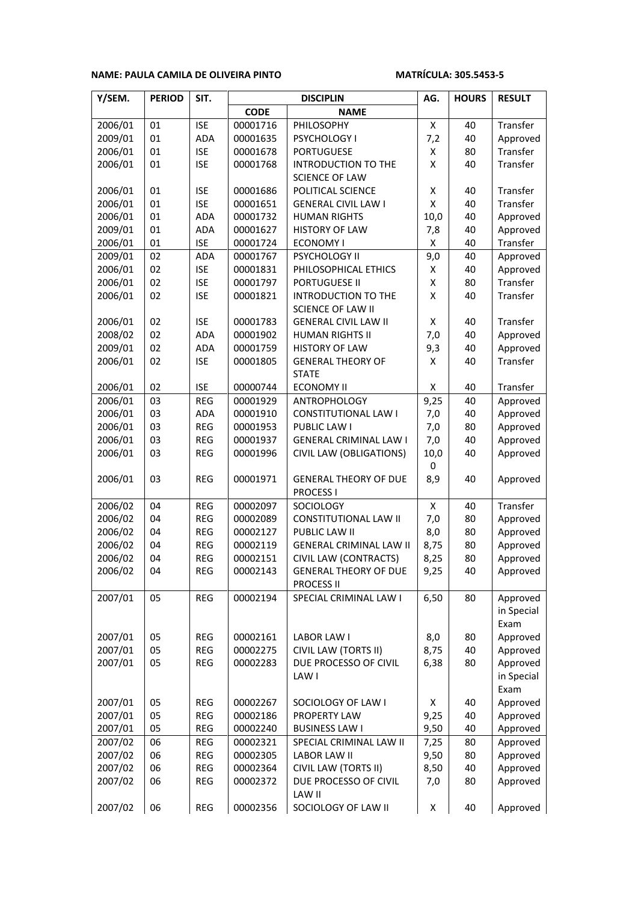### **NAME: PAULA CAMILA DE OLIVEIRA PINTO MATRÍCULA: 305.5453-5**

| Y/SEM.  | <b>PERIOD</b> | SIT.       | <b>DISCIPLIN</b> |                                |                    | <b>HOURS</b> | <b>RESULT</b> |
|---------|---------------|------------|------------------|--------------------------------|--------------------|--------------|---------------|
|         |               |            | <b>CODE</b>      | <b>NAME</b>                    |                    |              |               |
| 2006/01 | 01            | <b>ISE</b> | 00001716         | PHILOSOPHY                     | Χ                  | 40           | Transfer      |
| 2009/01 | 01            | ADA        | 00001635         | PSYCHOLOGY I                   | 7,2                | 40           | Approved      |
| 2006/01 | 01            | <b>ISE</b> | 00001678         | <b>PORTUGUESE</b>              | Χ                  | 80           | Transfer      |
| 2006/01 | 01            | <b>ISE</b> | 00001768         | <b>INTRODUCTION TO THE</b>     | Χ                  | 40           | Transfer      |
|         |               |            |                  | <b>SCIENCE OF LAW</b>          |                    |              |               |
| 2006/01 | 01            | <b>ISE</b> | 00001686         | POLITICAL SCIENCE              | Χ                  | 40           | Transfer      |
| 2006/01 | 01            | <b>ISE</b> | 00001651         | <b>GENERAL CIVIL LAW I</b>     | Χ                  | 40           | Transfer      |
| 2006/01 | 01            | <b>ADA</b> | 00001732         | <b>HUMAN RIGHTS</b>            | 10,0               | 40           | Approved      |
| 2009/01 | 01            | ADA        | 00001627         | <b>HISTORY OF LAW</b>          | 7,8                | 40           | Approved      |
| 2006/01 | 01            | <b>ISE</b> | 00001724         | <b>ECONOMY I</b>               | Χ                  | 40           | Transfer      |
| 2009/01 | 02            | ADA        | 00001767         | PSYCHOLOGY II                  | 9,0                | 40           | Approved      |
| 2006/01 | 02            | <b>ISE</b> | 00001831         | PHILOSOPHICAL ETHICS           | $\pmb{\mathsf{X}}$ | 40           | Approved      |
| 2006/01 | 02            | <b>ISE</b> | 00001797         | <b>PORTUGUESE II</b>           | Χ                  | 80           | Transfer      |
| 2006/01 | 02            | <b>ISE</b> | 00001821         | <b>INTRODUCTION TO THE</b>     | Χ                  | 40           | Transfer      |
|         |               |            |                  | <b>SCIENCE OF LAW II</b>       |                    |              |               |
| 2006/01 | 02            | <b>ISE</b> | 00001783         | <b>GENERAL CIVIL LAW II</b>    | Χ                  | 40           | Transfer      |
| 2008/02 | 02            | <b>ADA</b> | 00001902         | <b>HUMAN RIGHTS II</b>         | 7,0                | 40           | Approved      |
| 2009/01 | 02            | ADA        | 00001759         | <b>HISTORY OF LAW</b>          | 9,3                | 40           | Approved      |
| 2006/01 | 02            | <b>ISE</b> | 00001805         | <b>GENERAL THEORY OF</b>       | X                  | 40           | Transfer      |
|         |               |            |                  | <b>STATE</b>                   |                    |              |               |
| 2006/01 | 02            | <b>ISE</b> | 00000744         | <b>ECONOMY II</b>              | X                  | 40           | Transfer      |
| 2006/01 | 03            | <b>REG</b> | 00001929         | ANTROPHOLOGY                   | 9,25               | 40           | Approved      |
| 2006/01 | 03            | <b>ADA</b> | 00001910         | <b>CONSTITUTIONAL LAW I</b>    | 7,0                | 40           | Approved      |
| 2006/01 | 03            | REG        | 00001953         | PUBLIC LAW I                   | 7,0                | 80           | Approved      |
| 2006/01 | 03            | <b>REG</b> | 00001937         | <b>GENERAL CRIMINAL LAW I</b>  | 7,0                | 40           | Approved      |
| 2006/01 | 03            | <b>REG</b> | 00001996         | CIVIL LAW (OBLIGATIONS)        | 10,0               | 40           | Approved      |
|         |               |            |                  |                                | 0                  |              |               |
| 2006/01 | 03            | <b>REG</b> | 00001971         | <b>GENERAL THEORY OF DUE</b>   | 8,9                | 40           | Approved      |
|         |               |            |                  | <b>PROCESS I</b>               |                    |              |               |
| 2006/02 | 04            | <b>REG</b> | 00002097         | SOCIOLOGY                      | X                  | 40           | Transfer      |
| 2006/02 | 04            | REG        | 00002089         | CONSTITUTIONAL LAW II          | 7,0                | 80           | Approved      |
| 2006/02 | 04            | REG        | 00002127         | PUBLIC LAW II                  |                    | 80           | Approved      |
| 2006/02 | 04            | REG        | 00002119         | <b>GENERAL CRIMINAL LAW II</b> | 8,75               | 80           | Approved      |
| 2006/02 | 04            | <b>REG</b> | 00002151         | 8,25<br>CIVIL LAW (CONTRACTS)  |                    | 80           | Approved      |
| 2006/02 | 04            | <b>REG</b> | 00002143         | <b>GENERAL THEORY OF DUE</b>   | 9,25               | 40           | Approved      |
|         |               |            |                  | <b>PROCESS II</b>              |                    |              |               |
| 2007/01 | 05            | REG        | 00002194         | SPECIAL CRIMINAL LAW I         | 6,50               | 80           | Approved      |
|         |               |            |                  |                                |                    |              | in Special    |
|         |               |            |                  |                                |                    |              | Exam          |
| 2007/01 | 05            | REG        | 00002161         | LABOR LAW I                    | 8,0                | 80           | Approved      |
| 2007/01 | 05            | REG        | 00002275         | CIVIL LAW (TORTS II)           | 8,75               | 40           | Approved      |
| 2007/01 | 05            | REG        | 00002283         | DUE PROCESSO OF CIVIL          | 6,38               | 80           | Approved      |
|         |               |            |                  | LAW I                          |                    |              | in Special    |
|         |               |            |                  |                                |                    |              | Exam          |
| 2007/01 | 05            | REG        | 00002267         | SOCIOLOGY OF LAW I             | x                  | 40           | Approved      |
| 2007/01 | 05            | REG        | 00002186         | PROPERTY LAW                   | 9,25               | 40           | Approved      |
| 2007/01 | 05            | REG        | 00002240         | <b>BUSINESS LAW I</b>          | 9,50               | 40           | Approved      |
| 2007/02 | 06            | REG        | 00002321         | SPECIAL CRIMINAL LAW II        | 7,25               | 80           | Approved      |
| 2007/02 | 06            | REG        | 00002305         | <b>LABOR LAW II</b>            | 9,50               | 80           | Approved      |
| 2007/02 | 06            | REG        | 00002364         | CIVIL LAW (TORTS II)           | 8,50               | 40           | Approved      |
| 2007/02 | 06            | REG        | 00002372         | DUE PROCESSO OF CIVIL          | 7,0                | 80           | Approved      |
|         |               |            |                  | LAW II                         |                    |              |               |
| 2007/02 | 06            | REG        | 00002356         | SOCIOLOGY OF LAW II            | Χ                  | 40           | Approved      |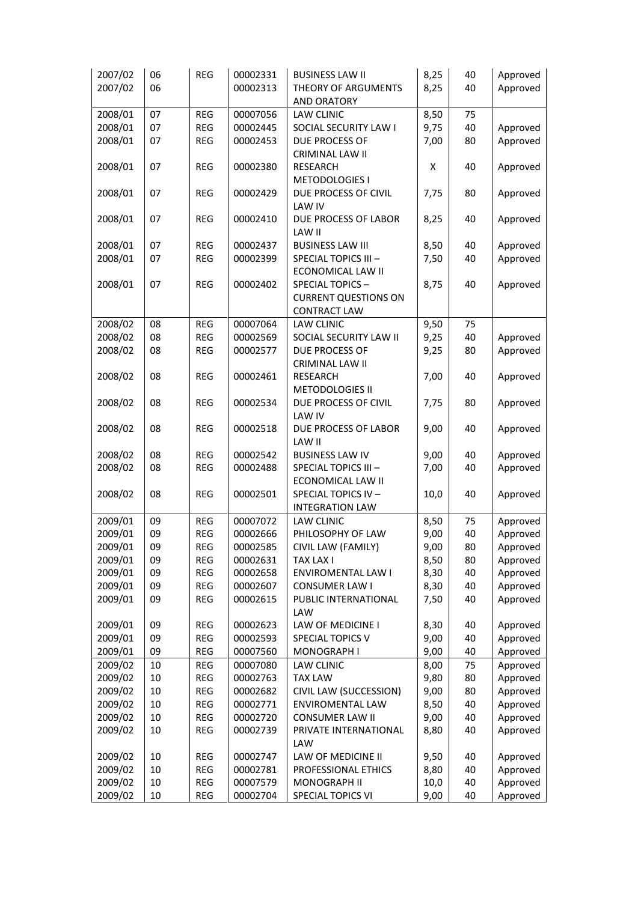| 2007/02 | 06     | <b>REG</b> | 00002331 | <b>BUSINESS LAW II</b>      | 8,25 | 40 | Approved |  |  |
|---------|--------|------------|----------|-----------------------------|------|----|----------|--|--|
| 2007/02 | 06     |            | 00002313 | THEORY OF ARGUMENTS         | 8,25 | 40 | Approved |  |  |
|         |        |            |          | <b>AND ORATORY</b>          |      |    |          |  |  |
| 2008/01 | 07     | <b>REG</b> | 00007056 | <b>LAW CLINIC</b>           | 8,50 | 75 |          |  |  |
| 2008/01 | 07     | <b>REG</b> | 00002445 | SOCIAL SECURITY LAW I       | 9,75 | 40 | Approved |  |  |
| 2008/01 | 07     | <b>REG</b> | 00002453 | DUE PROCESS OF              | 7,00 | 80 | Approved |  |  |
|         |        |            |          | <b>CRIMINAL LAW II</b>      |      |    |          |  |  |
| 2008/01 | 07     | <b>REG</b> | 00002380 | <b>RESEARCH</b>             | X    | 40 | Approved |  |  |
|         |        |            |          | METODOLOGIES I              |      |    |          |  |  |
|         |        |            |          |                             |      |    |          |  |  |
| 2008/01 | 07     | <b>REG</b> | 00002429 | DUE PROCESS OF CIVIL        | 7,75 | 80 | Approved |  |  |
|         |        |            |          | LAW IV                      |      |    |          |  |  |
| 2008/01 | 07     | <b>REG</b> | 00002410 | DUE PROCESS OF LABOR        | 8,25 | 40 | Approved |  |  |
|         |        |            |          | LAW II                      |      |    |          |  |  |
| 2008/01 | 07     | REG        | 00002437 | <b>BUSINESS LAW III</b>     | 8,50 | 40 | Approved |  |  |
| 2008/01 | 07     | <b>REG</b> | 00002399 | SPECIAL TOPICS III -        | 7,50 | 40 | Approved |  |  |
|         |        |            |          | ECONOMICAL LAW II           |      |    |          |  |  |
| 2008/01 | 07     | <b>REG</b> | 00002402 | SPECIAL TOPICS-             | 8,75 | 40 | Approved |  |  |
|         |        |            |          | <b>CURRENT QUESTIONS ON</b> |      |    |          |  |  |
|         |        |            |          | <b>CONTRACT LAW</b>         |      |    |          |  |  |
| 2008/02 | 08     | <b>REG</b> | 00007064 | LAW CLINIC                  | 9,50 | 75 |          |  |  |
| 2008/02 | 08     | REG        | 00002569 | SOCIAL SECURITY LAW II      | 9,25 | 40 | Approved |  |  |
| 2008/02 | 08     | <b>REG</b> | 00002577 | DUE PROCESS OF              | 9,25 | 80 | Approved |  |  |
|         |        |            |          | <b>CRIMINAL LAW II</b>      |      |    |          |  |  |
| 2008/02 | 08     | REG        | 00002461 | <b>RESEARCH</b>             | 7,00 | 40 | Approved |  |  |
|         |        |            |          | METODOLOGIES II             |      |    |          |  |  |
| 2008/02 | 08     | <b>REG</b> | 00002534 | DUE PROCESS OF CIVIL        | 7,75 | 80 | Approved |  |  |
|         |        |            |          | LAW IV                      |      |    |          |  |  |
| 2008/02 | 08     | <b>REG</b> | 00002518 | DUE PROCESS OF LABOR        | 9,00 | 40 | Approved |  |  |
|         |        |            |          | LAW II                      |      |    |          |  |  |
| 2008/02 | 08     | <b>REG</b> | 00002542 | <b>BUSINESS LAW IV</b>      | 9,00 | 40 | Approved |  |  |
| 2008/02 | 08     | <b>REG</b> | 00002488 | SPECIAL TOPICS III -        | 7,00 | 40 |          |  |  |
|         |        |            |          |                             |      |    | Approved |  |  |
|         |        |            |          | ECONOMICAL LAW II           |      |    |          |  |  |
| 2008/02 | 08     | <b>REG</b> | 00002501 | SPECIAL TOPICS IV -         | 10,0 | 40 | Approved |  |  |
|         |        |            |          | <b>INTEGRATION LAW</b>      |      |    |          |  |  |
| 2009/01 | 09     | <b>REG</b> | 00007072 | <b>LAW CLINIC</b>           | 8,50 | 75 | Approved |  |  |
| 2009/01 | 09     | <b>REG</b> | 00002666 | PHILOSOPHY OF LAW           | 9,00 | 40 | Approved |  |  |
| 2009/01 | 09     | <b>REG</b> | 00002585 | CIVIL LAW (FAMILY)          | 9,00 | 80 | Approved |  |  |
| 2009/01 | 09     | REG        | 00002631 | <b>TAX LAX I</b>            | 8,50 | 80 | Approved |  |  |
| 2009/01 | 09     | <b>REG</b> | 00002658 | <b>ENVIROMENTAL LAW I</b>   | 8,30 | 40 | Approved |  |  |
| 2009/01 | 09     | <b>REG</b> | 00002607 | <b>CONSUMER LAW I</b>       | 8,30 | 40 | Approved |  |  |
| 2009/01 | 09     | <b>REG</b> | 00002615 | PUBLIC INTERNATIONAL        | 7,50 | 40 | Approved |  |  |
|         |        |            |          | LAW                         |      |    |          |  |  |
| 2009/01 | 09     | <b>REG</b> | 00002623 | LAW OF MEDICINE I           | 8,30 | 40 | Approved |  |  |
| 2009/01 | 09     | <b>REG</b> | 00002593 | SPECIAL TOPICS V            | 9,00 | 40 | Approved |  |  |
| 2009/01 | 09     | <b>REG</b> | 00007560 | <b>MONOGRAPH I</b>          | 9,00 | 40 | Approved |  |  |
| 2009/02 | 10     | <b>REG</b> | 00007080 | <b>LAW CLINIC</b>           | 8,00 | 75 | Approved |  |  |
| 2009/02 | 10     | <b>REG</b> | 00002763 | <b>TAX LAW</b>              | 9,80 | 80 | Approved |  |  |
| 2009/02 | 10     | <b>REG</b> | 00002682 | CIVIL LAW (SUCCESSION)      | 9,00 | 80 | Approved |  |  |
| 2009/02 | $10\,$ | REG        | 00002771 | <b>ENVIROMENTAL LAW</b>     | 8,50 | 40 | Approved |  |  |
| 2009/02 | 10     | REG        | 00002720 | <b>CONSUMER LAW II</b>      | 9,00 | 40 | Approved |  |  |
| 2009/02 | 10     | <b>REG</b> | 00002739 | PRIVATE INTERNATIONAL       | 8,80 | 40 | Approved |  |  |
|         |        |            |          | LAW                         |      |    |          |  |  |
|         |        |            |          |                             |      |    |          |  |  |
| 2009/02 | 10     | <b>REG</b> | 00002747 | LAW OF MEDICINE II          | 9,50 | 40 | Approved |  |  |
| 2009/02 | 10     | <b>REG</b> | 00002781 | PROFESSIONAL ETHICS         | 8,80 | 40 | Approved |  |  |
| 2009/02 | 10     | <b>REG</b> | 00007579 | <b>MONOGRAPH II</b>         | 10,0 | 40 | Approved |  |  |
| 2009/02 | 10     | REG        | 00002704 | SPECIAL TOPICS VI           | 9,00 | 40 | Approved |  |  |